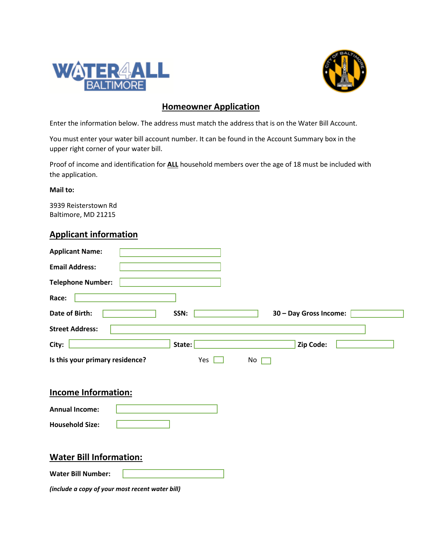



## **Homeowner Application**

Enter the information below. The address must match the address that is on the Water Bill Account.

You must enter your water bill account number. It can be found in the Account Summary box in the upper right corner of your water bill.

Proof of income and identification for **ALL** household members over the age of 18 must be included with the application.

**Mail to:**

3939 Reisterstown Rd Baltimore, MD 21215

#### **Applicant information**

| <b>Applicant Name:</b>                           |  |  |  |
|--------------------------------------------------|--|--|--|
| <b>Email Address:</b>                            |  |  |  |
| <b>Telephone Number:</b>                         |  |  |  |
| Race:                                            |  |  |  |
| Date of Birth:<br>30 - Day Gross Income:<br>SSN: |  |  |  |
| <b>Street Address:</b>                           |  |  |  |
| City:<br>Zip Code:<br>State:                     |  |  |  |
| Is this your primary residence?<br>Yes<br>No     |  |  |  |
|                                                  |  |  |  |
| <b>Income Information:</b>                       |  |  |  |
| <b>Annual Income:</b>                            |  |  |  |
| <b>Household Size:</b>                           |  |  |  |
|                                                  |  |  |  |
| <b>Water Bill Information:</b>                   |  |  |  |
| <b>Water Bill Number:</b>                        |  |  |  |
|                                                  |  |  |  |

*(include a copy of your most recent water bill)*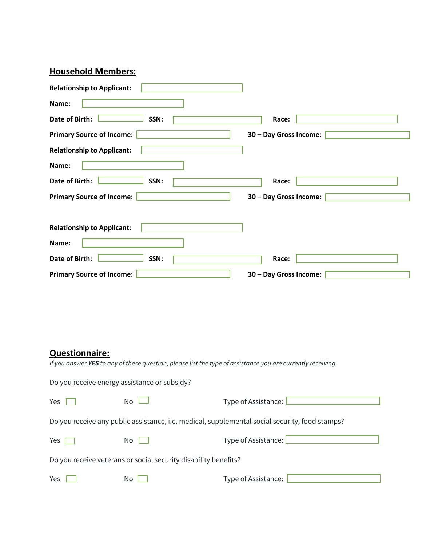# **Household Members:**

| <b>Relationship to Applicant:</b> |                        |
|-----------------------------------|------------------------|
| Name:                             |                        |
| Date of Birth:<br>SSN:            | Race:                  |
| <b>Primary Source of Income:</b>  | 30 - Day Gross Income: |
| <b>Relationship to Applicant:</b> |                        |
| Name:                             |                        |
| Date of Birth:<br>SSN:            | Race:                  |
| <b>Primary Source of Income:</b>  | 30 - Day Gross Income: |
|                                   |                        |
| <b>Relationship to Applicant:</b> |                        |
| Name:                             |                        |
| Date of Birth:<br>SSN:            | Race:                  |
| <b>Primary Source of Income:</b>  | 30 - Day Gross Income: |

### **Questionnaire:**

*If you answer YES to any of these question, please list the type of assistance you are currently receiving.*

| Do you receive energy assistance or subsidy? |  |
|----------------------------------------------|--|
|----------------------------------------------|--|

| Yes                                                                                            | No.  | Type of Assistance: |  |  |
|------------------------------------------------------------------------------------------------|------|---------------------|--|--|
| Do you receive any public assistance, i.e. medical, supplemental social security, food stamps? |      |                     |  |  |
| Yes $\Box$                                                                                     | No I | Type of Assistance: |  |  |
| Do you receive veterans or social security disability benefits?                                |      |                     |  |  |
| Yes                                                                                            | No.  | Type of Assistance: |  |  |